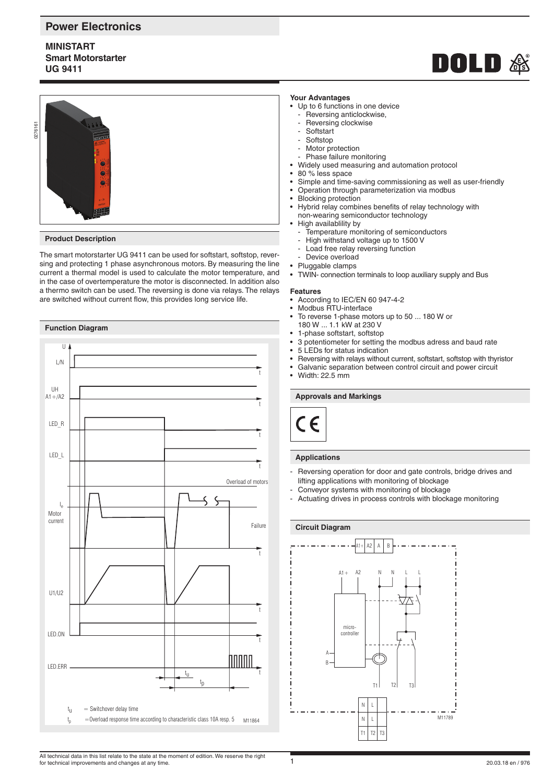## **Power Electronics**

## **MINISTART Smart Motorstarter UG 9411**





#### **Product Description**

The smart motorstarter UG 9411 can be used for softstart, softstop, reversing and protecting 1 phase asynchronous motors. By measuring the line current a thermal model is used to calculate the motor temperature, and in the case of overtemperature the motor is disconnected. In addition also a thermo switch can be used. The reversing is done via relays. The relays are switched without current flow, this provides long service life.

## **Function Diagram**



#### **Your Advantages**

- Up to 6 functions in one device
	- Reversing anticlockwise,
	- Reversing clockwise
	- Softstart
	- Softstop
	- Motor protection
	- Phase failure monitoring
- Widely used measuring and automation protocol
- 80 % less space
- Simple and time-saving commissioning as well as user-friendly
- Operation through parameterization via modbus
- Blocking protection
- Hybrid relay combines benefits of relay technology with non-wearing semiconductor technology
- High availablility by
	- $\frac{3}{2}$  Temperature monitoring of semiconductors
	- High withstand voltage up to 1500 V
	- Load free relay reversing function
	- Device overload
- Pluggable clamps
- TWIN- connection terminals to loop auxiliary supply and Bus

# **Features**

- According to IEC/EN 60 947-4-2
- Modbus RTU-interface
- To reverse 1-phase motors up to 50 ... 180 W or
- 180 W ... 1.1 kW at 230 V
- 1-phase softstart, softstop
- 3 potentiometer for setting the modbus adress and baud rate
- 5 LEDs for status indication
- Reversing with relays without current, softstart, softstop with thyristor
- Galvanic separation between control circuit and power circuit
- Width: 22.5 mm

#### **Approvals and Markings**



#### **Applications**

- Reversing operation for door and gate controls, bridge drives and lifting applications with monitoring of blockage
- Conveyor systems with monitoring of blockage
- Actuating drives in process controls with blockage monitoring

#### **Circuit Diagram**

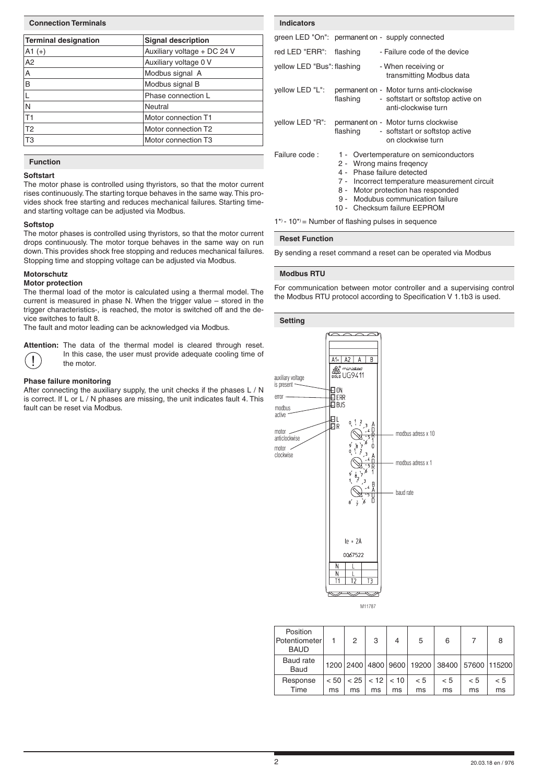| <b>Connection Terminals</b> |                             |  |  |  |  |
|-----------------------------|-----------------------------|--|--|--|--|
| Terminal designation        | <b>Signal description</b>   |  |  |  |  |
| $ A1 (+) $                  | Auxiliary voltage + DC 24 V |  |  |  |  |
| A <sub>2</sub>              | Auxiliary voltage 0 V       |  |  |  |  |
| $\overline{A}$              | Modbus signal A             |  |  |  |  |
| $\overline{B}$              | Modbus signal B             |  |  |  |  |
| $\overline{\mathsf{L}}$     | Phase connection L          |  |  |  |  |
| $\overline{\mathsf{N}}$     | Neutral                     |  |  |  |  |
| T <sub>1</sub>              | Motor connection T1         |  |  |  |  |
| T <sub>2</sub>              | Motor connection T2         |  |  |  |  |
| T <sub>3</sub>              | Motor connection T3         |  |  |  |  |

## **Function**

### **Softstart**

The motor phase is controlled using thyristors, so that the motor current rises continuously. The starting torque behaves in the same way. This provides shock free starting and reduces mechanical failures. Starting timeand starting voltage can be adjusted via Modbus.

#### **Softstop**

The motor phases is controlled using thyristors, so that the motor current drops continuously. The motor torque behaves in the same way on run down. This provides shock free stopping and reduces mechanical failures. Stopping time and stopping voltage can be adjusted via Modbus.

#### **Motorschutz**

#### **Motor protection**

The thermal load of the motor is calculated using a thermal model. The current is measured in phase N. When the trigger value – stored in the trigger characteristics-, is reached, the motor is switched off and the device switches to fault 8.

The fault and motor leading can be acknowledged via Modbus.

**Attention:** The data of the thermal model is cleared through reset. In this case, the user must provide adequate cooling time of the motor. the motor.

#### **Phase failure monitoring**

After connecting the auxiliary supply, the unit checks if the phases L / N is correct. If L or L / N phases are missing, the unit indicates fault 4. This fault can be reset via Modbus.

| <b>Indicators</b>          |          |                                                                                                                                                                                                                                                             |
|----------------------------|----------|-------------------------------------------------------------------------------------------------------------------------------------------------------------------------------------------------------------------------------------------------------------|
|                            |          | green LED "On": permanent on - supply connected                                                                                                                                                                                                             |
| red LED "ERR":             | flashing | - Failure code of the device                                                                                                                                                                                                                                |
| yellow LED "Bus": flashing |          | - When receiving or<br>transmitting Modbus data                                                                                                                                                                                                             |
| yellow LED "L":            | flashing | permanent on - Motor turns anti-clockwise<br>- softstart or softstop active on<br>anti-clockwise turn                                                                                                                                                       |
| yellow LED "R":            | flashing | permanent on - Motor turns clockwise<br>- softstart or softstop active<br>on clockwise turn                                                                                                                                                                 |
| Failure code:              |          | 1 - Overtemperature on semiconductors<br>2 - Wrong mains fregency<br>4 - Phase failure detected<br>7 - Incorrect temperature measurement circuit<br>8 - Motor protection has responded<br>9 - Modubus communication failure<br>10 - Checksum failure EEPROM |

 $1^*$  - 10<sup>\*</sup> = Number of flashing pulses in sequence

#### **Reset Function**

By sending a reset command a reset can be operated via Modbus

#### **Modbus RTU**

For communication between motor controller and a supervising control the Modbus RTU protocol according to Specification V 1.1b3 is used.

#### **Setting**



M11787

| Position<br>Potentiometer<br><b>BAUD</b> |      | 2    | 3                         | 4  | 5   | 6   |     | 8                                            |
|------------------------------------------|------|------|---------------------------|----|-----|-----|-----|----------------------------------------------|
| Baud rate<br>Baud                        |      |      |                           |    |     |     |     | 1200 2400 4800 9600 19200 38400 57600 115200 |
| Response                                 | < 50 | < 25 | $\vert$ < 12 $\vert$ < 10 |    | < 5 | < 5 | < 5 | < 5                                          |
| Time                                     | ms   | ms   | ms                        | ms | ms  | ms  | ms  | ms                                           |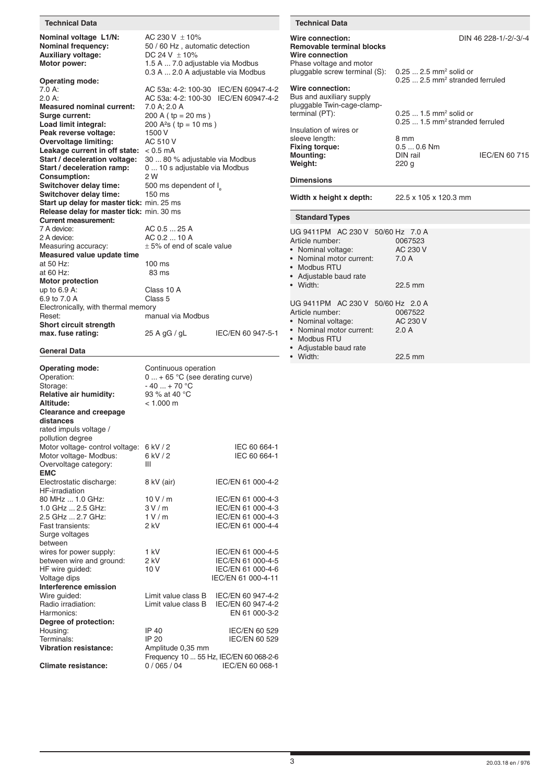#### **Technical Data Technical Data**

**Nominal voltage L1/N:** AC 230 V  $\pm$  10%<br>**Nominal frequency:** 50 / 60 Hz, autor **Auxiliary voltage:**<br>Motor power:

 0.3 A ... 2.0 A adjustable via Modbus **Operating mode:**<br>7.0 A: 7.0 A: <br>7.0 A: <br>2.0 A: <br>2.0 A: <br>2.0 A: <br>AC 53a: 4-2: 100-30 IEC/EN 60947-4-2 AC 53a: 4-2: 100-30 IEC/EN 60947-4-2<br>7.0 A; 2.0 A **Measured nominal current:**<br>Surge current: 200 A ( tp = 20 ms ) **Load limit integral:** 200 A<sup>2</sup>s (tp = 10 ms)<br>**Peak reverse voltage:** 1500 V **Peak reverse voltage:** 1500 V<br> **Overvoltage limiting:** AC 510 V **Overvoltage limiting: Leakage current in off state:** < 0.5 mA<br>**Start / deceleration voltage:** 30 ... 80 9 **Start / deceleration voltage:** 30 ... 80 % adjustable via Modbus **Start / deceleration ramp:** 0 ... 10 s adjustable via Modbus **Consumption:** 2 W<br> **Switchover delay time:** 500 ms dependent of I. **Switchover delay time:** 500 ms<br> **Switchover delay time:** 150 ms **Switchover delay time: Start up delay for master tick:** min. 25 ms **Release delay for master tick:** min. 30 ms **Current measurement:**<br>7 A device: 7 A device: <br>
2 A device: <br>
AC 0.2 ... 10 A 2 A device:  $AC 0.2 ... 10 A$ <br>Measuring accuracy:  $\pm 5\%$  of end of  $\pm$  5% of end of scale value **Measured value update time** at 50 Hz: 100 ms<br>at 60 Hz: 83 ms at  $60$  Hz: **Motor protection** up to 6.9 A: Class 10 A<br>6.9 to 7.0 A Class 5  $6.9$  to 7.0 A Electronically, with thermal memory Reset: The manual via Modbus **Short circuit strength max. fuse rating:** <sup>25</sup> A gG / gL IEC/EN 60 947-5-1

50 / 60 Hz, automatic detection<br>DC 24 V  $\pm$  10%

**Motor power:** 1.5 A ... 7.0 adjustable via Modbus

### **General Data**

| <b>Operating mode:</b><br>Operation: | Continuous operation<br>$0  + 65$ °C (see derating curve) |                                        |  |  |  |
|--------------------------------------|-----------------------------------------------------------|----------------------------------------|--|--|--|
| Storage:                             | $-40+70$ °C                                               |                                        |  |  |  |
| Relative air humidity:               | 93 % at 40 °C                                             |                                        |  |  |  |
| Altitude:                            | $< 1.000$ m                                               |                                        |  |  |  |
| <b>Clearance and creepage</b>        |                                                           |                                        |  |  |  |
| distances                            |                                                           |                                        |  |  |  |
| rated impuls voltage /               |                                                           |                                        |  |  |  |
| pollution degree                     |                                                           |                                        |  |  |  |
| Motor voltage- control voltage:      | 6 kV / 2                                                  | IEC 60 664-1                           |  |  |  |
| Motor voltage- Modbus:               | 6 kV / 2                                                  | IEC 60 664-1                           |  |  |  |
| Overvoltage category:                | Ш                                                         |                                        |  |  |  |
| <b>EMC</b>                           |                                                           |                                        |  |  |  |
| Electrostatic discharge:             | 8 kV (air)                                                | IEC/EN 61 000-4-2                      |  |  |  |
| <b>HF-irradiation</b>                |                                                           |                                        |  |  |  |
| 80 MHz  1.0 GHz:                     | 10V/m                                                     | IEC/EN 61 000-4-3                      |  |  |  |
| 1.0 GHz  2.5 GHz:                    | 3V/m                                                      | IEC/EN 61 000-4-3                      |  |  |  |
| 2.5 GHz  2.7 GHz:                    | 1 V/m                                                     | IEC/EN 61 000-4-3                      |  |  |  |
| Fast transients:                     | $2$ kV                                                    | IEC/EN 61 000-4-4                      |  |  |  |
| Surge voltages                       |                                                           |                                        |  |  |  |
| between                              |                                                           |                                        |  |  |  |
| wires for power supply:              | 1 kV                                                      | IEC/EN 61 000-4-5                      |  |  |  |
| between wire and ground:             | 2 kV                                                      | IEC/EN 61 000-4-5                      |  |  |  |
| HF wire guided:                      | 10V                                                       | IEC/EN 61 000-4-6                      |  |  |  |
| Voltage dips                         |                                                           | IEC/EN 61 000-4-11                     |  |  |  |
| Interference emission                |                                                           |                                        |  |  |  |
| Wire guided:                         | Limit value class B                                       | IEC/EN 60 947-4-2                      |  |  |  |
| Radio irradiation:                   | Limit value class B                                       | IEC/EN 60 947-4-2                      |  |  |  |
| Harmonics:                           |                                                           | EN 61 000-3-2                          |  |  |  |
| Degree of protection:                |                                                           |                                        |  |  |  |
| Housing:                             | IP 40                                                     | IEC/EN 60 529                          |  |  |  |
| Terminals:                           | IP 20                                                     | IEC/EN 60 529                          |  |  |  |
| <b>Vibration resistance:</b>         | Amplitude 0,35 mm                                         |                                        |  |  |  |
|                                      |                                                           | Frequency 10  55 Hz, IEC/EN 60 068-2-6 |  |  |  |
| <b>Climate resistance:</b>           | 0/065/04                                                  | IEC/EN 60 068-1                        |  |  |  |

#### **Wire connection:** DIN 46 228-1/-2/-3/-4 **Removable terminal blocks Wire connection** Phase voltage and motor pluggable screw terminal (S):

0.25 ... 2.5 mm2 stranded ferruled **Wire connection:** Bus and auxiliary supply pluggable Twin-cage-clampterminal (PT): 0.25 ... 1.5 mm<sup>2</sup>

0.25 ... 1.5 mm2 stranded ferruled Insulation of wires or sleeve length: 8 mm<br> **Fixing torque:** 0.5 ... 0.6 Nm **Fixing torque:** 0.5 ... 0.6<br> **Mounting:** DIN rail

**Dimensions**

**Width x height x depth:** 22.5 x 105 x 120.3 mm

**Weight:** 220 g

| <b>Standard Types</b>                                                                                                                                  |                              |
|--------------------------------------------------------------------------------------------------------------------------------------------------------|------------------------------|
| UG 9411PM AC 230 V 50/60 Hz 7.0 A<br>Article number:<br>• Nominal voltage:<br>• Nominal motor current: 7.0 A<br>• Modbus RTU<br>• Adjustable baud rate | 0067523<br>AC 230 V          |
| • Width:                                                                                                                                               | $22.5$ mm                    |
| UG 9411PM AC 230 V 50/60 Hz 2.0 A<br>Article number:<br>• Nominal voltage:<br>• Nominal motor current:<br>• Modbus RTU<br>• Adjustable baud rate       | 0067522<br>AC 230 V<br>2.0 A |
| • Width:                                                                                                                                               | 22.5 mm                      |

**Mounting:** DIN rail IEC/EN 60 715

 $0.25$  ... 2.5 mm<sup>2</sup> solid or

 $0.25...$  1.5 mm<sup>2</sup> solid or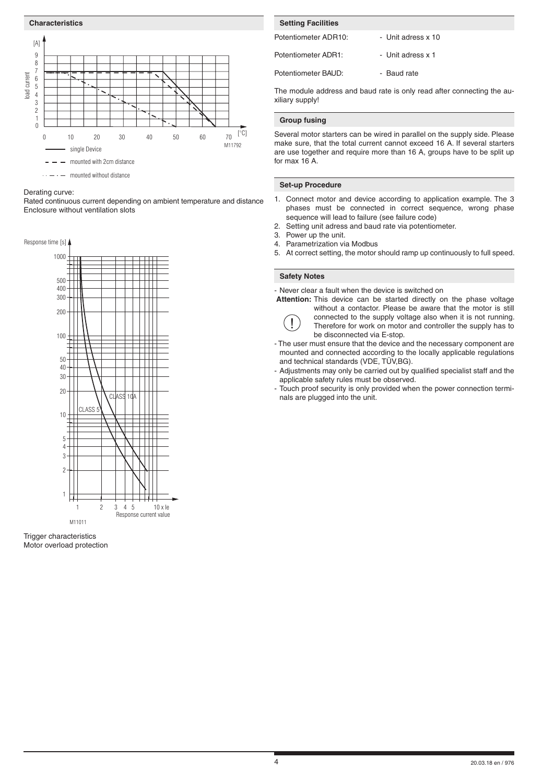

- mounted without distance

#### Derating curve:

Rated continuous current depending on ambient temperature and distance Enclosure without ventilation slots



Trigger characteristics Motor overload protection

# Potentiometer ADR10: - - Unit adress x 10 Potentiometer ADR1: - Unit adress x 1 Potentiometer BAUD: - Baud rate **Setting Facilities**

The module address and baud rate is only read after connecting the auxiliary supply!

#### **Group fusing**

Several motor starters can be wired in parallel on the supply side. Please make sure, that the total current cannot exceed 16 A. If several starters are use together and require more than 16 A, groups have to be split up for max 16 A.

#### **Set-up Procedure**

- 1. Connect motor and device according to application example. The 3 phases must be connected in correct sequence, wrong phase sequence will lead to failure (see failure code)
- 2. Setting unit adress and baud rate via potentiometer.
- 3. Power up the unit.
- 4. Parametrization via Modbus
- 5. At correct setting, the motor should ramp up continuously to full speed.

#### **Safety Notes**

- Never clear a fault when the device is switched on

 **Attention:** This device can be started directly on the phase voltage



without a contactor. Please be aware that the motor is still **(1)** connected to the supply voltage also when it is not running.<br>Therefore for work on motor and controller the supply has to be disconnected via E-stop.

- The user must ensure that the device and the necessary component are mounted and connected according to the locally applicable regulations and technical standards (VDE, TÜV,BG).
- Adjustments may only be carried out by qualified specialist staff and the applicable safety rules must be observed.
- Touch proof security is only provided when the power connection terminals are plugged into the unit.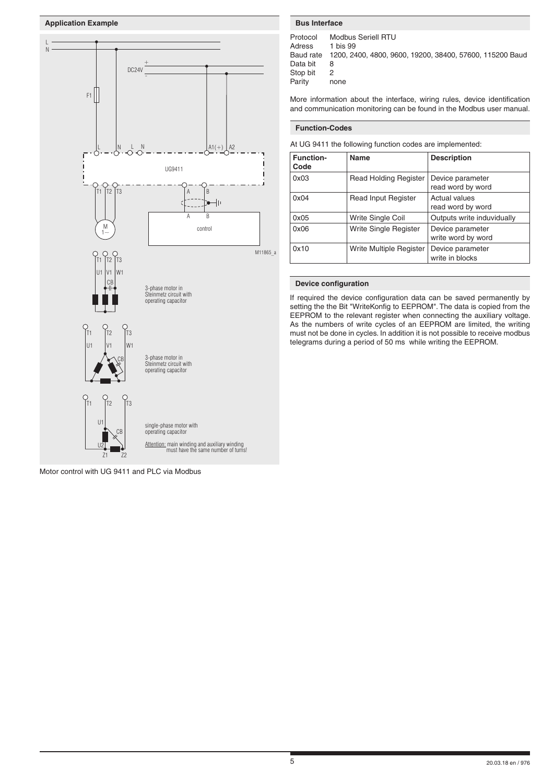



Motor control with UG 9411 and PLC via Modbus

Protocol Modbus Seriell RTU Adress 1 bis 99<br>Baud rate 1200, 24 1200, 2400, 4800, 9600, 19200, 38400, 57600, 115200 Baud Data bit 8 Stop bit 2 Parity none

More information about the interface, wiring rules, device identification and communication monitoring can be found in the Modbus user manual.

#### **Function-Codes**

At UG 9411 the following function codes are implemented:

| <b>Function-</b><br>Code | <b>Name</b>                  | <b>Description</b>                     |
|--------------------------|------------------------------|----------------------------------------|
| 0x03                     | <b>Read Holding Register</b> | Device parameter<br>read word by word  |
| 0x04                     | <b>Read Input Register</b>   | Actual values<br>read word by word     |
| 0x05                     | Write Single Coil            | Outputs write induvidually             |
| 0x06                     | Write Single Register        | Device parameter<br>write word by word |
| 0x10                     | Write Multiple Register      | Device parameter<br>write in blocks    |

#### **Device configuration**

If required the device configuration data can be saved permanently by setting the the Bit "WriteKonfig to EEPROM". The data is copied from the EEPROM to the relevant register when connecting the auxiliary voltage. As the numbers of write cycles of an EEPROM are limited, the writing must not be done in cycles. In addition it is not possible to receive modbus telegrams during a period of 50 ms while writing the EEPROM.